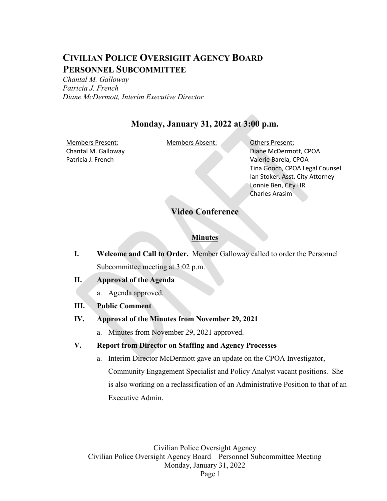# **CIVILIAN POLICE OVERSIGHT AGENCY BOARD PERSONNEL SUBCOMMITTEE**

*Chantal M. Galloway Patricia J. French Diane McDermott, Interim Executive Director*

## **Monday, January 31, 2022 at 3:00 p.m.**

Members Present: Members Absent: Others Present: Chantal M. Galloway Patricia J. French

Diane McDermott, CPOA Valerie Barela, CPOA Tina Gooch, CPOA Legal Counsel Ian Stoker, Asst. City Attorney Lonnie Ben, City HR Charles Arasim

### **Video Conference**

#### **Minutes**

- **I. Welcome and Call to Order.** Member Galloway called to order the Personnel Subcommittee meeting at 3:02 p.m.
- **II. Approval of the Agenda**
	- a. Agenda approved.
- **III. Public Comment**
- **IV. Approval of the Minutes from November 29, 2021**

a. Minutes from November 29, 2021 approved.

### **V. Report from Director on Staffing and Agency Processes**

a. Interim Director McDermott gave an update on the CPOA Investigator, Community Engagement Specialist and Policy Analyst vacant positions. She is also working on a reclassification of an Administrative Position to that of an Executive Admin.

Civilian Police Oversight Agency Civilian Police Oversight Agency Board – Personnel Subcommittee Meeting Monday, January 31, 2022 Page 1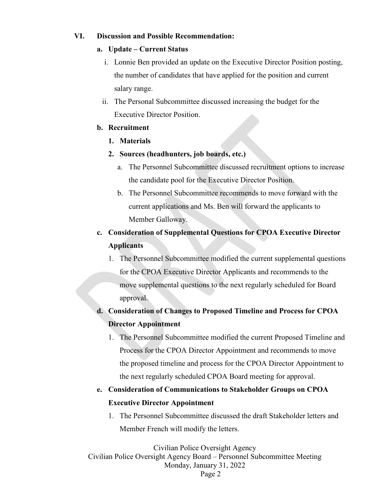### **VI. Discussion and Possible Recommendation:**

#### **a. Update – Current Status**

- i. Lonnie Ben provided an update on the Executive Director Position posting, the number of candidates that have applied for the position and current salary range.
- ii. The Personal Subcommittee discussed increasing the budget for the Executive Director Position.

#### **b. Recruitment**

- **1. Materials**
- **2. Sources (headhunters, job boards, etc.)**
	- a. The Personnel Subcommittee discussed recruitment options to increase the candidate pool for the Executive Director Position.
	- b. The Personnel Subcommittee recommends to move forward with the current applications and Ms. Ben will forward the applicants to Member Galloway.

## **c. Consideration of Supplemental Questions for CPOA Executive Director Applicants**

1. The Personnel Subcommittee modified the current supplemental questions for the CPOA Executive Director Applicants and recommends to the move supplemental questions to the next regularly scheduled for Board approval.

## **d. Consideration of Changes to Proposed Timeline and Process for CPOA Director Appointment**

1. The Personnel Subcommittee modified the current Proposed Timeline and Process for the CPOA Director Appointment and recommends to move the proposed timeline and process for the CPOA Director Appointment to the next regularly scheduled CPOA Board meeting for approval.

## **e. Consideration of Communications to Stakeholder Groups on CPOA Executive Director Appointment**

1. The Personnel Subcommittee discussed the draft Stakeholder letters and Member French will modify the letters.

Civilian Police Oversight Agency

Civilian Police Oversight Agency Board – Personnel Subcommittee Meeting Monday, January 31, 2022